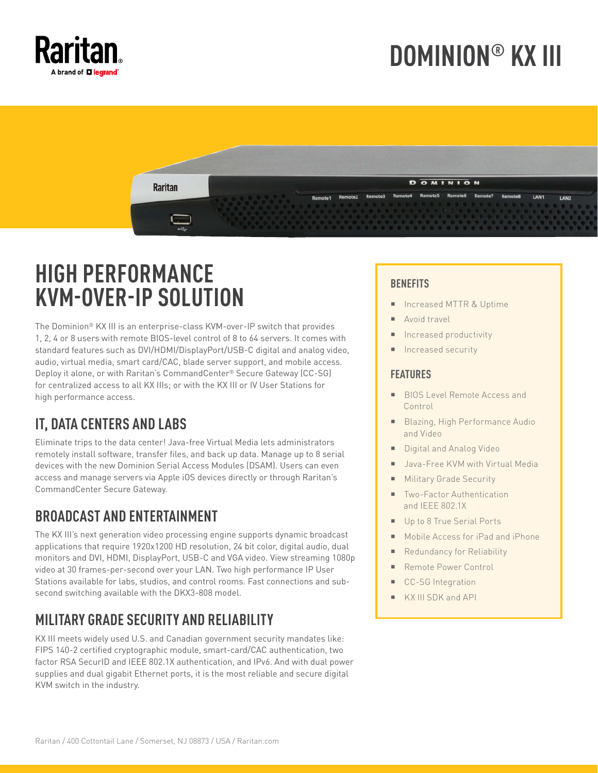

# **DOMINION® KX III**



### **HIGH PERFORMANCE KVM-OVER-IP SOLUTION**

The Dominion® KX III is an enterprise-class KVM-over-IP switch that provides 1, 2, 4 or 8 users with remote BIOS-level control of 8 to 64 servers. It comes with standard features such as DVI/HDMI/DisplayPort/USB-C digital and analog video, audio, virtual media, smart card/CAC, blade server support, and mobile access. Deploy it alone, or with Raritan's CommandCenter® Secure Gateway (CC-SG) for centralized access to all KX IIIs; or with the KX III or IV User Stations for high performance access.

### **IT, DATA CENTERS AND LABS**

Eliminate trips to the data center! Java-free Virtual Media lets administrators remotely install software, transfer files, and back up data. Manage up to 8 serial devices with the new Dominion Serial Access Modules (DSAM). Users can even access and manage servers via Apple iOS devices directly or through Raritan's CommandCenter Secure Gateway.

#### **BROADCAST AND ENTERTAINMENT**

The KX III's next generation video processing engine supports dynamic broadcast applications that require 1920x1200 HD resolution, 24 bit color, digital audio, dual monitors and DVI, HDMI, DisplayPort, USB-C and VGA video. View streaming 1080p video at 30 frames-per-second over your LAN. Two high performance IP User Stations available for labs, studios, and control rooms. Fast connections and subsecond switching available with the DKX3-808 model.

#### **MILITARY GRADE SECURITY AND RELIABILITY**

KX III meets widely used U.S. and Canadian government security mandates like: FIPS 140-2 certified cryptographic module, smart-card/CAC authentication, two factor RSA SecurID and IEEE 802.1X authentication, and IPv6. And with dual power supplies and dual gigabit Ethernet ports, it is the most reliable and secure digital KVM switch in the industry.

#### **BENEFITS**

- Increased MTTR & Uptime
- Avoid travel
- Increased productivity
- Increased security

#### **FEATURES**

- **BIOS Level Remote Access and** Control
- Blazing, High Performance Audio and Video
- Digital and Analog Video
- Java-Free KVM with Virtual Media
- Military Grade Security
- Two-Factor Authentication and IEEE 802.1X
- Up to 8 True Serial Ports
- Mobile Access for iPad and iPhone
- Redundancy for Reliability
- Remote Power Control
- CC-SG Integration
- KX III SDK and API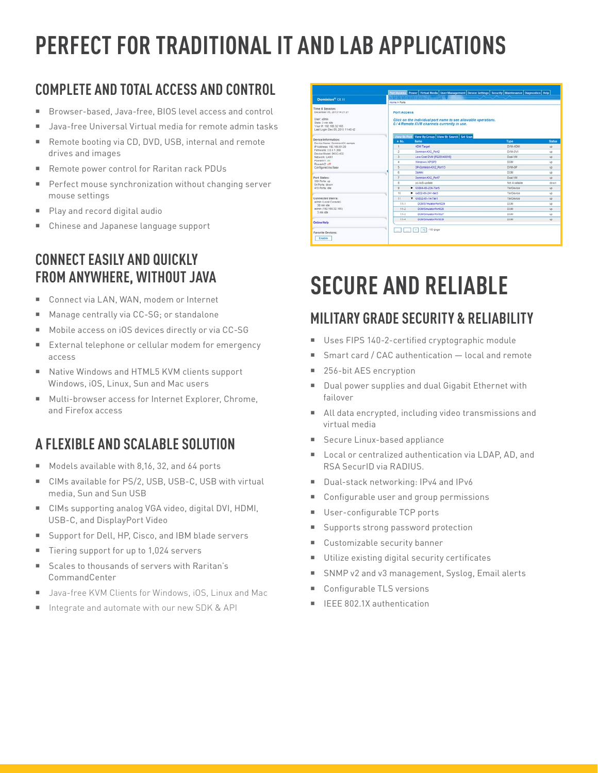# **PERFECT FOR TRADITIONAL IT AND LAB APPLICATIONS**

### **COMPLETE AND TOTAL ACCESS AND CONTROL**

- Browser-based, Java-free, BIOS level access and control
- Java-free Universal Virtual media for remote admin tasks
- Remote booting via CD, DVD, USB, internal and remote drives and images
- Remote power control for Raritan rack PDUs
- **Perfect mouse synchronization without changing server** mouse settings
- Play and record digital audio
- Chinese and Japanese language support

#### **CONNECT EASILY AND QUICKLY FROM ANYWHERE, WITHOUT JAVA**

- Connect via LAN, WAN, modem or Internet
- Manage centrally via CC-SG; or standalone
- Mobile access on iOS devices directly or via CC-SG
- External telephone or cellular modem for emergency access
- Native Windows and HTML5 KVM clients support Windows, iOS, Linux, Sun and Mac users
- Multi-browser access for Internet Explorer, Chrome, and Firefox access

#### **A FLEXIBLE AND SCALABLE SOLUTION**

- Models available with 8,16, 32, and 64 ports
- CIMs available for PS/2, USB, USB-C, USB with virtual media, Sun and Sun USB
- CIMs supporting analog VGA video, digital DVI, HDMI, USB-C, and DisplayPort Video
- Support for Dell, HP, Cisco, and IBM blade servers
- Tiering support for up to 1,024 servers
- Scales to thousands of servers with Raritan's CommandCenter
- Java-free KVM Clients for Windows, iOS, Linux and Mac
- Integrate and automate with our new SDK & API

|                                                                                                      |                    | Port Access Power Virtual Media User Management Device Settings Security Maintenance Diagnostics Help         |                 |               |  |  |  |
|------------------------------------------------------------------------------------------------------|--------------------|---------------------------------------------------------------------------------------------------------------|-----------------|---------------|--|--|--|
| Dominion <sup>®</sup> KX III                                                                         |                    |                                                                                                               |                 |               |  |  |  |
|                                                                                                      | Home > Ports       |                                                                                                               |                 |               |  |  |  |
| Time & Session:<br>December 05, 2013 14:21:27<br>User: admin                                         | <b>Port Access</b> |                                                                                                               |                 |               |  |  |  |
| State: 3 min idie<br>Visar @: 192 168 12 165<br>Last Login: Dec 05, 2013 11:40:42                    |                    | Click on the individual port name to see allowable operations.<br>0 / 4 Remote KVM channels currently in use. |                 |               |  |  |  |
| <b>Device Information:</b>                                                                           |                    | View By Port View By Group   View By Search   Set Scan                                                        |                 |               |  |  |  |
| Device Name: DominionXX-sample                                                                       | 4.80               | <b>Name</b>                                                                                                   | Type            | <b>Status</b> |  |  |  |
| P Address: 192.168.61.20                                                                             | ٠                  | <b>HDMI Target</b>                                                                                            | <b>DVM-HOME</b> | up            |  |  |  |
| Firmware: 3.0.0.1.309<br>Device Model: DKX3-432                                                      | $\overline{z}$     | Dominion-KX2 Port2                                                                                            | DVM-DVI         | up            |  |  |  |
| Network: LANT                                                                                        | з                  | Low Cost DVM (P020540016)                                                                                     | Dual-VM         | up            |  |  |  |
| Powerint: on<br>Powerin2: off                                                                        | $\overline{a}$     | Windows XP 5P3                                                                                                | DOM:            | up            |  |  |  |
| Configured As Base                                                                                   | s                  | DP-Dominion-KX2_Port13                                                                                        | DVM-DP          | up            |  |  |  |
|                                                                                                      | g.                 | Domini                                                                                                        | <b>DCM</b>      | up            |  |  |  |
| <b>Port States:</b>                                                                                  | $\overline{r}$     | Dominion-KX2 Port7                                                                                            | Dual-VM         | $95^{\circ}$  |  |  |  |
| 359 Ports: up<br>54 Ports: down                                                                      | ×                  | po-loch-update                                                                                                | Not Available   | down          |  |  |  |
| 413 Ports: idie                                                                                      | $\sim$             | CORRECTIVE                                                                                                    | TierCevine      | up.           |  |  |  |
|                                                                                                      | 10                 | b lod32-80-241-ter3                                                                                           | TierCevine      | ub            |  |  |  |
| Connected Users:<br>admin (Local Console)<br>30 min idle<br>admin (192, 188, 32, 185).<br>3 min idle | 11.                | <b>T KXE32-81-14-Tier1</b>                                                                                    | TierDevice      | up            |  |  |  |
|                                                                                                      | 11-1               | DCM/S7mulatorPort029                                                                                          | <b>DOM</b>      | ub            |  |  |  |
|                                                                                                      | 11.2               | OC8/SimulatorPort028                                                                                          | DOM:            | up            |  |  |  |
|                                                                                                      | 11.3               | DCM/SimulatorPort027                                                                                          | DOM             | up            |  |  |  |
| <b>Online Help</b>                                                                                   | 11.4               | DCR/SimulatorPort039                                                                                          | DOM:            | up-           |  |  |  |
| Favorite Devices:<br>Enable                                                                          |                    | $-1/5 - 0.008$<br>×                                                                                           |                 |               |  |  |  |

## **SECURE AND RELIABLE**

#### **MILITARY GRADE SECURITY & RELIABILITY**

- Uses FIPS 140-2-certified cryptographic module
- Smart card / CAC authentication local and remote
- 256-bit AES encryption
- Dual power supplies and dual Gigabit Ethernet with failover
- All data encrypted, including video transmissions and virtual media
- **Secure Linux-based appliance**
- Local or centralized authentication via LDAP, AD, and RSA SecurID via RADIUS.
- Dual-stack networking: IPv4 and IPv6
- Configurable user and group permissions
- User-configurable TCP ports
- Supports strong password protection
- Customizable security banner
- Utilize existing digital security certificates
- SNMP v2 and v3 management, Syslog, Email alerts
- Configurable TLS versions
- IEEE 802.1X authentication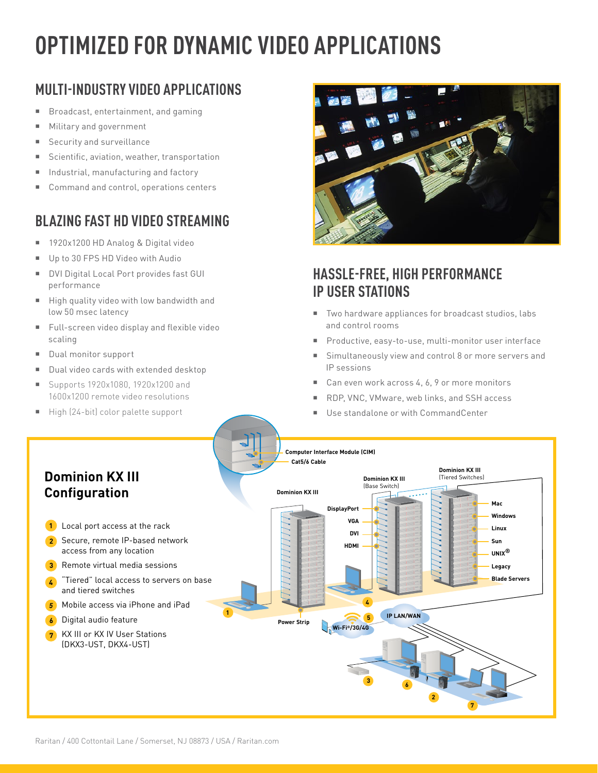## **OPTIMIZED FOR DYNAMIC VIDEO APPLICATIONS**

### **MULTI-INDUSTRY VIDEO APPLICATIONS**

- Broadcast, entertainment, and gaming
- **Military and government**
- Security and surveillance
- Scientific, aviation, weather, transportation
- **Industrial, manufacturing and factory**
- Command and control, operations centers

### **BLAZING FAST HD VIDEO STREAMING**

- 1920x1200 HD Analog & Digital video
- Up to 30 FPS HD Video with Audio
- **DVI Digital Local Port provides fast GUI** performance
- High quality video with low bandwidth and low 50 msec latency
- Full-screen video display and flexible video scaling
- Dual monitor support
- Dual video cards with extended desktop
- Supports 1920x1080, 1920x1200 and 1600x1200 remote video resolutions
- $\blacksquare$  High (24-bit) color palette support



#### **HASSLE-FREE, HIGH PERFORMANCE IP USER STATIONS**

- Two hardware appliances for broadcast studios, labs and control rooms
- **Productive, easy-to-use, multi-monitor user interface**
- Simultaneously view and control 8 or more servers and IP sessions
- Can even work across 4, 6, 9 or more monitors
- RDP, VNC, VMware, web links, and SSH access
- Use standalone or with CommandCenter